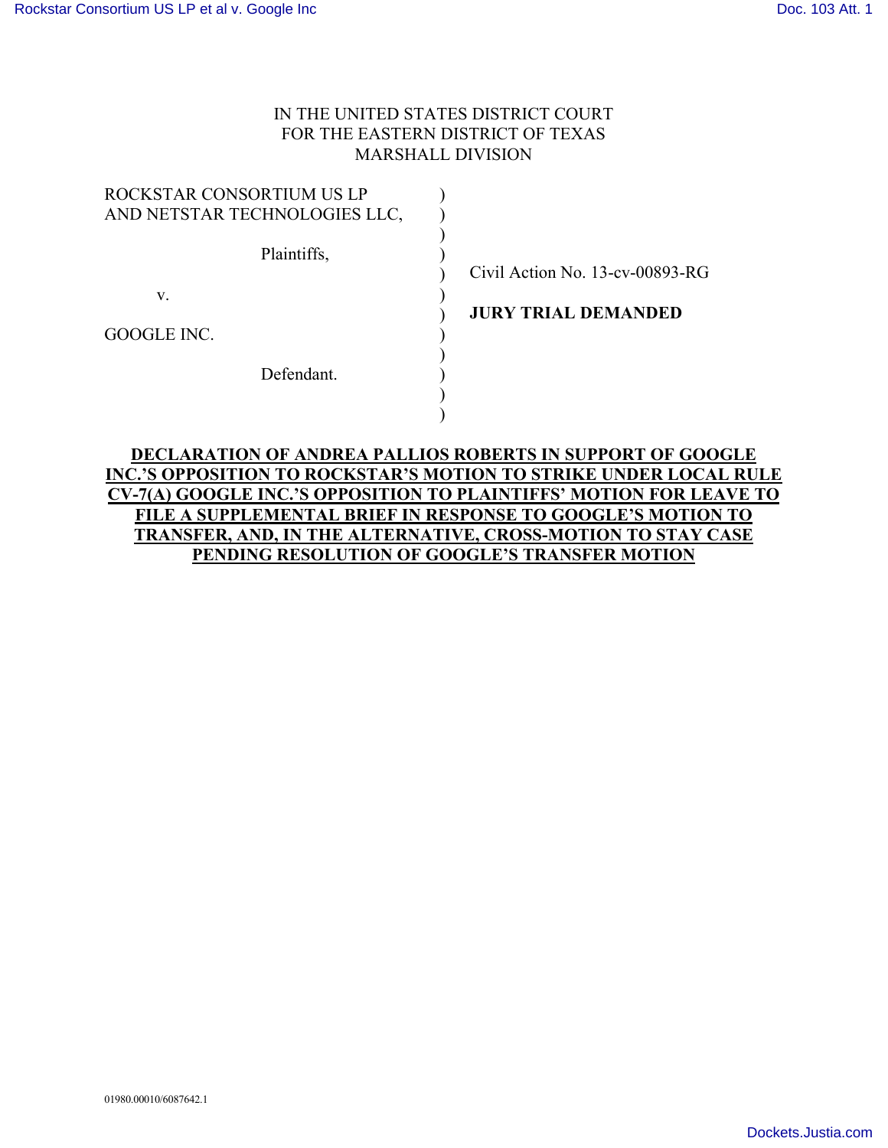## IN THE UNITED STATES DISTRICT COURT FOR THE EASTERN DISTRICT OF TEXAS MARSHALL DIVISION

| ROCKSTAR CONSORTIUM US LP     |                |
|-------------------------------|----------------|
| AND NETSTAR TECHNOLOGIES LLC, |                |
| Plaintiffs,                   | Civil Act      |
| V.                            |                |
|                               | <b>JURY TI</b> |
| GOOGLE INC.                   |                |
|                               |                |
| Defendant.                    |                |
|                               |                |
|                               |                |

 $\chi$ ion No. 13-cv-00893-RG

**RIAL DEMANDED** 

## **DECLARATION OF ANDREA PALLIOS ROBERTS IN SUPPORT OF GOOGLE INC.'S OPPOSITION TO ROCKSTAR'S MOTION TO STRIKE UNDER LOCAL RULE CV-7(A) GOOGLE INC.'S OPPOSITION TO PLAINTIFFS' MOTION FOR LEAVE TO FILE A SUPPLEMENTAL BRIEF IN RESPONSE TO GOOGLE'S MOTION TO TRANSFER, AND, IN THE ALTERNATIVE, CROSS-MOTION TO STAY CASE PENDING RESOLUTION OF GOOGLE'S TRANSFER MOTION**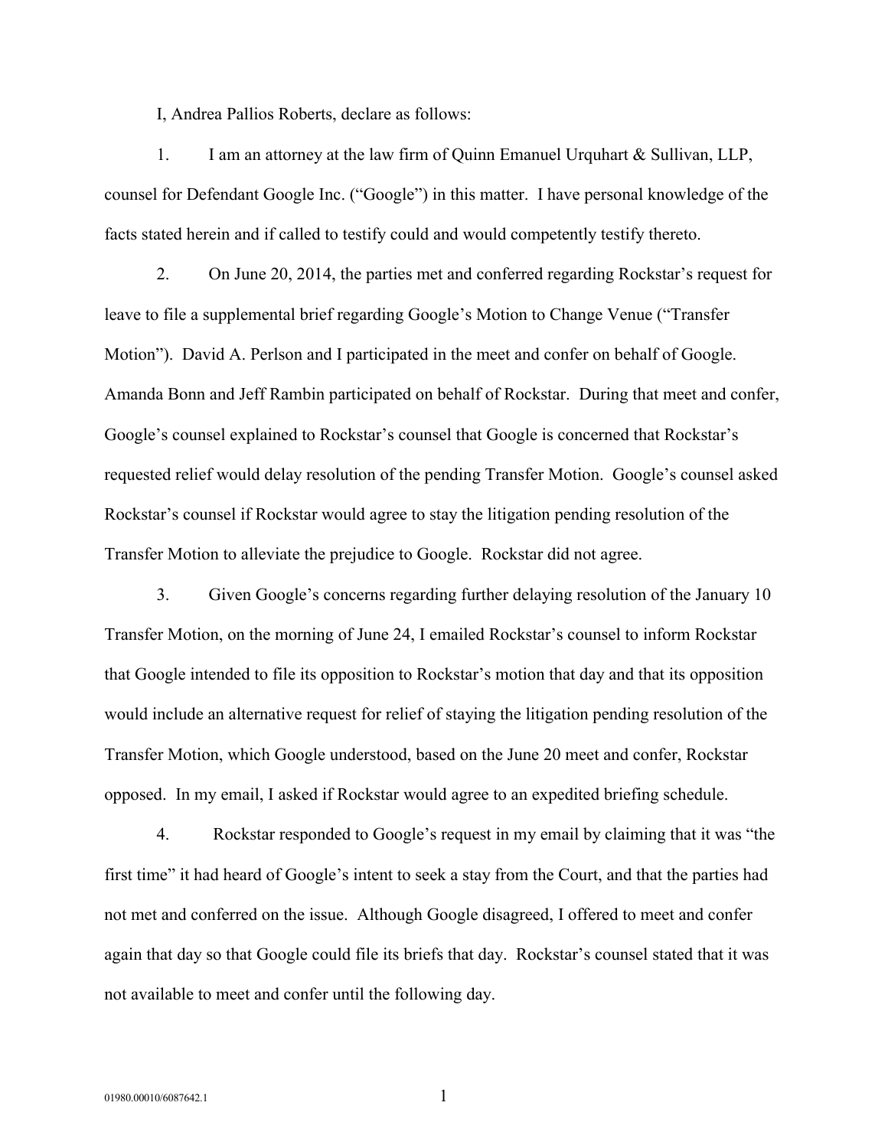I, Andrea Pallios Roberts, declare as follows:

1. I am an attorney at the law firm of Quinn Emanuel Urquhart & Sullivan, LLP, counsel for Defendant Google Inc. ("Google") in this matter. I have personal knowledge of the facts stated herein and if called to testify could and would competently testify thereto.

2. On June 20, 2014, the parties met and conferred regarding Rockstar's request for leave to file a supplemental brief regarding Google's Motion to Change Venue ("Transfer Motion"). David A. Perlson and I participated in the meet and confer on behalf of Google. Amanda Bonn and Jeff Rambin participated on behalf of Rockstar. During that meet and confer, Google's counsel explained to Rockstar's counsel that Google is concerned that Rockstar's requested relief would delay resolution of the pending Transfer Motion. Google's counsel asked Rockstar's counsel if Rockstar would agree to stay the litigation pending resolution of the Transfer Motion to alleviate the prejudice to Google. Rockstar did not agree.

3. Given Google's concerns regarding further delaying resolution of the January 10 Transfer Motion, on the morning of June 24, I emailed Rockstar's counsel to inform Rockstar that Google intended to file its opposition to Rockstar's motion that day and that its opposition would include an alternative request for relief of staying the litigation pending resolution of the Transfer Motion, which Google understood, based on the June 20 meet and confer, Rockstar opposed. In my email, I asked if Rockstar would agree to an expedited briefing schedule.

4. Rockstar responded to Google's request in my email by claiming that it was "the first time" it had heard of Google's intent to seek a stay from the Court, and that the parties had not met and conferred on the issue. Although Google disagreed, I offered to meet and confer again that day so that Google could file its briefs that day. Rockstar's counsel stated that it was not available to meet and confer until the following day.